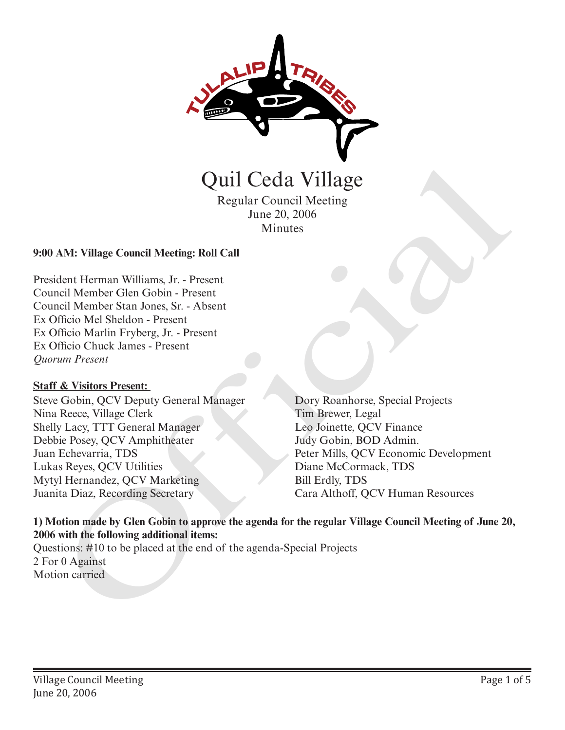

Regular Council Meeting June 20, 2006 Minutes

### **9:00 AM: Village Council Meeting: Roll Call**

President Herman Williams, Jr. - Present Council Member Glen Gobin - Present Council Member Stan Jones, Sr. - Absent Ex Officio Mel Sheldon - Present Ex Officio Marlin Fryberg, Jr. - Present Ex Officio Chuck James - Present *Quorum Present*

#### **Staff & Visitors Present:**

Steve Gobin, QCV Deputy General Manager Nina Reece, Village Clerk Shelly Lacy, TTT General Manager Debbie Posey, QCV Amphitheater Juan Echevarria, TDS Lukas Reyes, QCV Utilities Mytyl Hernandez, QCV Marketing Juanita Diaz, Recording Secretary

Dory Roanhorse, Special Projects Tim Brewer, Legal Leo Joinette, QCV Finance Judy Gobin, BOD Admin. Peter Mills, QCV Economic Development Diane McCormack, TDS Bill Erdly, TDS **Cara Althoff**<br>
Regular Council Meeting<br>
Regular Council Meeting<br>
June 20, 2006<br>
Minutes<br>
AM: Village Council Meeting: Roll Call<br>
dent Herman Williams, Jr. - Present<br>
milities Marin Fryberg, Jr. - Present<br>
milities Marin F

### **1) Motion made by Glen Gobin to approve the agenda for the regular Village Council Meeting of June 20, 2006 with the following additional items:**

Questions: #10 to be placed at the end of the agenda-Special Projects 2 For 0 Against Motion carried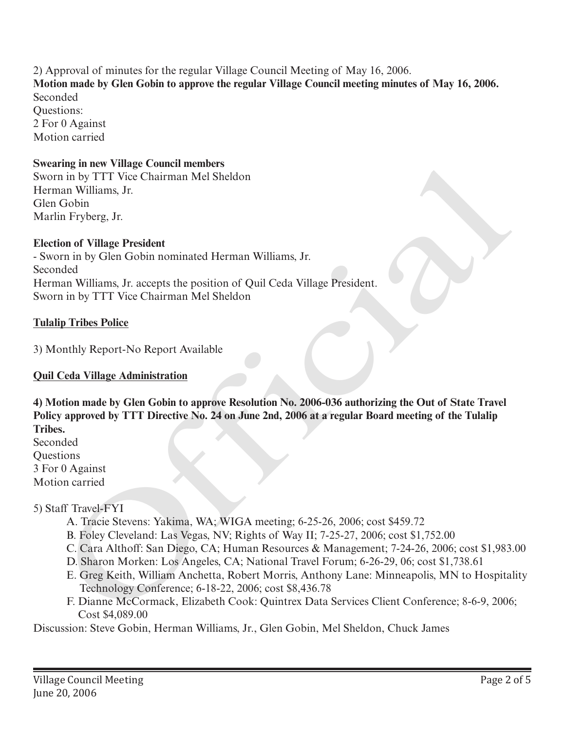2) Approval of minutes for the regular Village Council Meeting of May 16, 2006. **Motion made by Glen Gobin to approve the regular Village Council meeting minutes of May 16, 2006.** Seconded Questions: 2 For 0 Against Motion carried

#### **Swearing in new Village Council members**

Sworn in by TTT Vice Chairman Mel Sheldon Herman Williams, Jr. Glen Gobin Marlin Fryberg, Jr.

#### **Election of Village President**

- Sworn in by Glen Gobin nominated Herman Williams, Jr. Seconded Herman Williams, Jr. accepts the position of Quil Ceda Village President. Sworn in by TTT Vice Chairman Mel Sheldon

#### **Tulalip Tribes Police**

3) Monthly Report-No Report Available

#### **Quil Ceda Village Administration**

**4) Motion made by Glen Gobin to approve Resolution No. 2006-036 authorizing the Out of State Travel Policy approved by TTT Directive No. 24 on June 2nd, 2006 at a regular Board meeting of the Tulalip Tribes.** map in new vinage Cometi members<br>
in in by TIT Vice Chairman McI Sheldon<br>
in in yiel TIT Vice Chairman McI Sheldon<br>
lin Fryberg, Jr.<br>
Cobin<br>
in Sofilm Colin in ominated Herman Williams, Jr.<br>
map (Silm Cobin inominated Herm

Seconded Questions 3 For 0 Against Motion carried

#### 5) Staff Travel-FYI

- A. Tracie Stevens: Yakima, WA; WIGA meeting; 6-25-26, 2006; cost \$459.72
- B. Foley Cleveland: Las Vegas, NV; Rights of Way II; 7-25-27, 2006; cost \$1,752.00
- C. Cara Althoff: San Diego, CA; Human Resources & Management; 7-24-26, 2006; cost \$1,983.00
- D. Sharon Morken: Los Angeles, CA; National Travel Forum; 6-26-29, 06; cost \$1,738.61
- E. Greg Keith, William Anchetta, Robert Morris, Anthony Lane: Minneapolis, MN to Hospitality Technology Conference; 6-18-22, 2006; cost \$8,436.78
- F. Dianne McCormack, Elizabeth Cook: Quintrex Data Services Client Conference; 8-6-9, 2006; Cost \$4,089.00

Discussion: Steve Gobin, Herman Williams, Jr., Glen Gobin, Mel Sheldon, Chuck James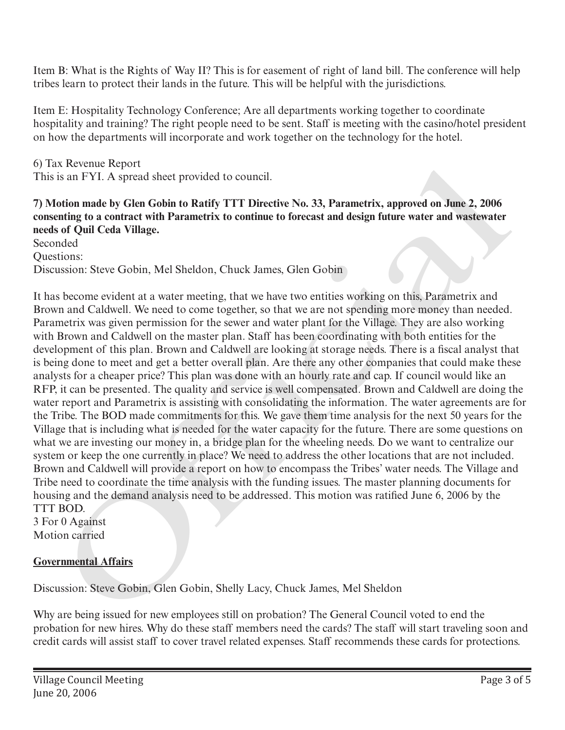Item B: What is the Rights of Way II? This is for easement of right of land bill. The conference will help tribes learn to protect their lands in the future. This will be helpful with the jurisdictions.

Item E: Hospitality Technology Conference; Are all departments working together to coordinate hospitality and training? The right people need to be sent. Staff is meeting with the casino/hotel president on how the departments will incorporate and work together on the technology for the hotel.

6) Tax Revenue Report This is an FYI. A spread sheet provided to council.

## **7) Motion made by Glen Gobin to Ratify TTT Directive No. 33, Parametrix, approved on June 2, 2006 consenting to a contract with Parametrix to continue to forecast and design future water and wastewater needs of Quil Ceda Village.**

Seconded

Questions: Discussion: Steve Gobin, Mel Sheldon, Chuck James, Glen Gobin

It has become evident at a water meeting, that we have two entities working on this, Parametrix and Brown and Caldwell. We need to come together, so that we are not spending more money than needed. Parametrix was given permission for the sewer and water plant for the Village. They are also working with Brown and Caldwell on the master plan. Staff has been coordinating with both entities for the development of this plan. Brown and Caldwell are looking at storage needs. There is a fiscal analyst that is being done to meet and get a better overall plan. Are there any other companies that could make these analysts for a cheaper price? This plan was done with an hourly rate and cap. If council would like an RFP, it can be presented. The quality and service is well compensated. Brown and Caldwell are doing the water report and Parametrix is assisting with consolidating the information. The water agreements are for the Tribe. The BOD made commitments for this. We gave them time analysis for the next 50 years for the Village that is including what is needed for the water capacity for the future. There are some questions on what we are investing our money in, a bridge plan for the wheeling needs. Do we want to centralize our system or keep the one currently in place? We need to address the other locations that are not included. Brown and Caldwell will provide a report on how to encompass the Tribes' water needs. The Village and Tribe need to coordinate the time analysis with the funding issues. The master planning documents for housing and the demand analysis need to be addressed. This motion was ratified June 6, 2006 by the TTT BOD. It Receives the control show that the mean the show that the mean of the steel is an FYI. A special shoct provided to council.<br>
is an FYI. A special shoct Gobin to Ratify TTT Directive No. 33, Parametrix, approved on June

3 For 0 Against Motion carried

# **Governmental Affairs**

Discussion: Steve Gobin, Glen Gobin, Shelly Lacy, Chuck James, Mel Sheldon

Why are being issued for new employees still on probation? The General Council voted to end the probation for new hires. Why do these staff members need the cards? The staff will start traveling soon and credit cards will assist staff to cover travel related expenses. Staff recommends these cards for protections.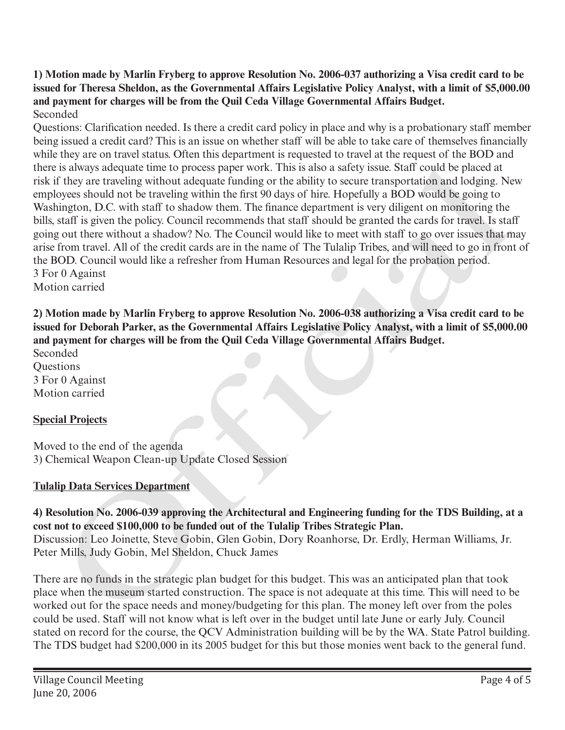**1) Motion made by Marlin Fryberg to approve Resolution No. 2006-037 authorizing a Visa credit card to be issued for Theresa Sheldon, as the Governmental Affairs Legislative Policy Analyst, with a limit of \$5,000.00 and payment for charges will be from the Quil Ceda Village Governmental Affairs Budget.** Seconded

Questions: Clarification needed. Is there a credit card policy in place and why is a probationary staff member being issued a credit card? This is an issue on whether staff will be able to take care of themselves financially while they are on travel status. Often this department is requested to travel at the request of the BOD and there is always adequate time to process paper work. This is also a safety issue. Staff could be placed at risk if they are traveling without adequate funding or the ability to secure transportation and lodging. New employees should not be traveling within the first 90 days of hire. Hopefully a BOD would be going to Washington, D.C. with staff to shadow them. The finance department is very diligent on monitoring the bills, staff is given the policy. Council recommends that staff should be granted the cards for travel. Is staff going out there without a shadow? No. The Council would like to meet with staff to go over issues that may arise from travel. All of the credit cards are in the name of The Tulalip Tribes, and will need to go in front of the BOD. Council would like a refresher from Human Resources and legal for the probation period. 3 For 0 Against is always adequate time to process paper work. This is also a safely issue. Stall could be placed at<br>
reade to the reacting without adequate funding or the ability to secure transportation and lodging. No<br>
orges should ont

Motion carried

**2) Motion made by Marlin Fryberg to approve Resolution No. 2006-038 authorizing a Visa credit card to be issued for Deborah Parker, as the Governmental Affairs Legislative Policy Analyst, with a limit of \$5,000.00 and payment for charges will be from the Quil Ceda Village Governmental Affairs Budget.**

Seconded **Ouestions** 3 For 0 Against Motion carried

# **Special Projects**

Moved to the end of the agenda 3) Chemical Weapon Clean-up Update Closed Session

## **Tulalip Data Services Department**

**4) Resolution No. 2006-039 approving the Architectural and Engineering funding for the TDS Building, at a cost not to exceed \$100,000 to be funded out of the Tulalip Tribes Strategic Plan.** Discussion: Leo Joinette, Steve Gobin, Glen Gobin, Dory Roanhorse, Dr. Erdly, Herman Williams, Jr. Peter Mills, Judy Gobin, Mel Sheldon, Chuck James

There are no funds in the strategic plan budget for this budget. This was an anticipated plan that took place when the museum started construction. The space is not adequate at this time. This will need to be worked out for the space needs and money/budgeting for this plan. The money left over from the poles could be used. Staff will not know what is left over in the budget until late June or early July. Council stated on record for the course, the QCV Administration building will be by the WA. State Patrol building. The TDS budget had \$200,000 in its 2005 budget for this but those monies went back to the general fund.